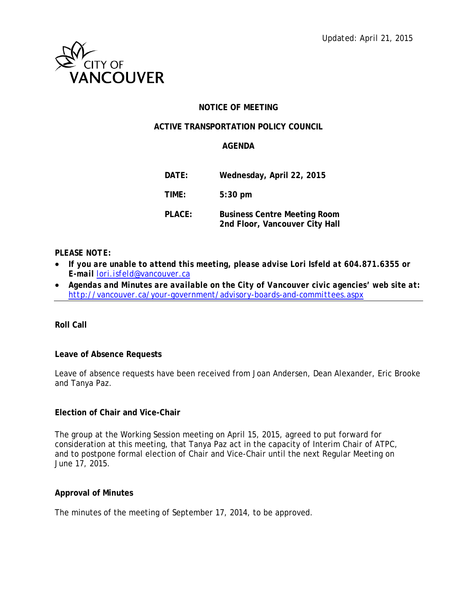

### **NOTICE OF MEETING**

### **ACTIVE TRANSPORTATION POLICY COUNCIL**

#### **AGENDA**

| DATE:  | Wednesday, April 22, 2015                                             |
|--------|-----------------------------------------------------------------------|
| TIME:  | $5:30$ pm                                                             |
| PLACE: | <b>Business Centre Meeting Room</b><br>2nd Floor, Vancouver City Hall |

#### *PLEASE NOTE:*

- *If you are unable to attend this meeting, please advise Lori Isfeld at 604.871.6355 or E-mail [lori.isfeld@vancouver.ca](mailto:lori.isfeld@vancouver.ca)*
- *Agendas and Minutes are available on the City of Vancouver civic agencies' web site at: <http://vancouver.ca/your-government/advisory-boards-and-committees.aspx>*

**Roll Call** 

#### **Leave of Absence Requests**

Leave of absence requests have been received from Joan Andersen, Dean Alexander, Eric Brooke and Tanya Paz.

### **Election of Chair and Vice-Chair**

The group at the Working Session meeting on April 15, 2015, agreed to put forward for consideration at this meeting, that Tanya Paz act in the capacity of Interim Chair of ATPC, and to postpone formal election of Chair and Vice-Chair until the next Regular Meeting on June 17, 2015.

### **Approval of Minutes**

The minutes of the meeting of September 17, 2014, to be approved.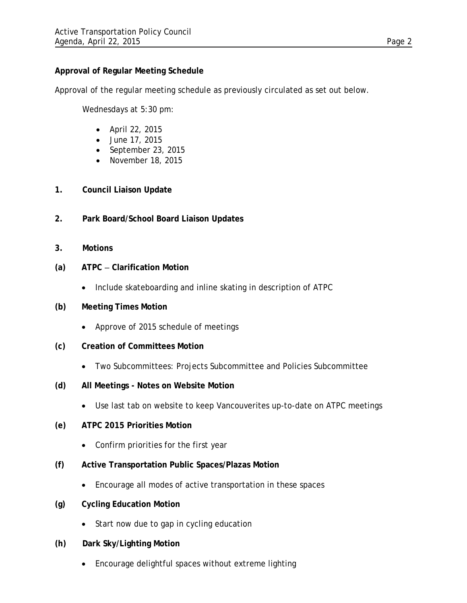## **Approval of Regular Meeting Schedule**

Approval of the regular meeting schedule as previously circulated as set out below.

Wednesdays at 5:30 pm:

- April 22, 2015
- June 17, 2015
- September 23, 2015
- November 18, 2015
- **1. Council Liaison Update**
- **2. Park Board/School Board Liaison Updates**
- **3. Motions**
- **(a) ATPC Clarification Motion** 
	- Include skateboarding and inline skating in description of ATPC
- **(b) Meeting Times Motion**
	- Approve of 2015 schedule of meetings
- **(c) Creation of Committees Motion**
	- Two Subcommittees: Projects Subcommittee and Policies Subcommittee
- **(d) All Meetings Notes on Website Motion** 
	- Use last tab on website to keep Vancouverites up-to-date on ATPC meetings
- **(e) ATPC 2015 Priorities Motion**
	- Confirm priorities for the first year
- **(f) Active Transportation Public Spaces/Plazas Motion**
	- Encourage all modes of active transportation in these spaces
- **(g) Cycling Education Motion**
	- Start now due to gap in cycling education
- **(h) Dark Sky/Lighting Motion**
	- Encourage delightful spaces without extreme lighting